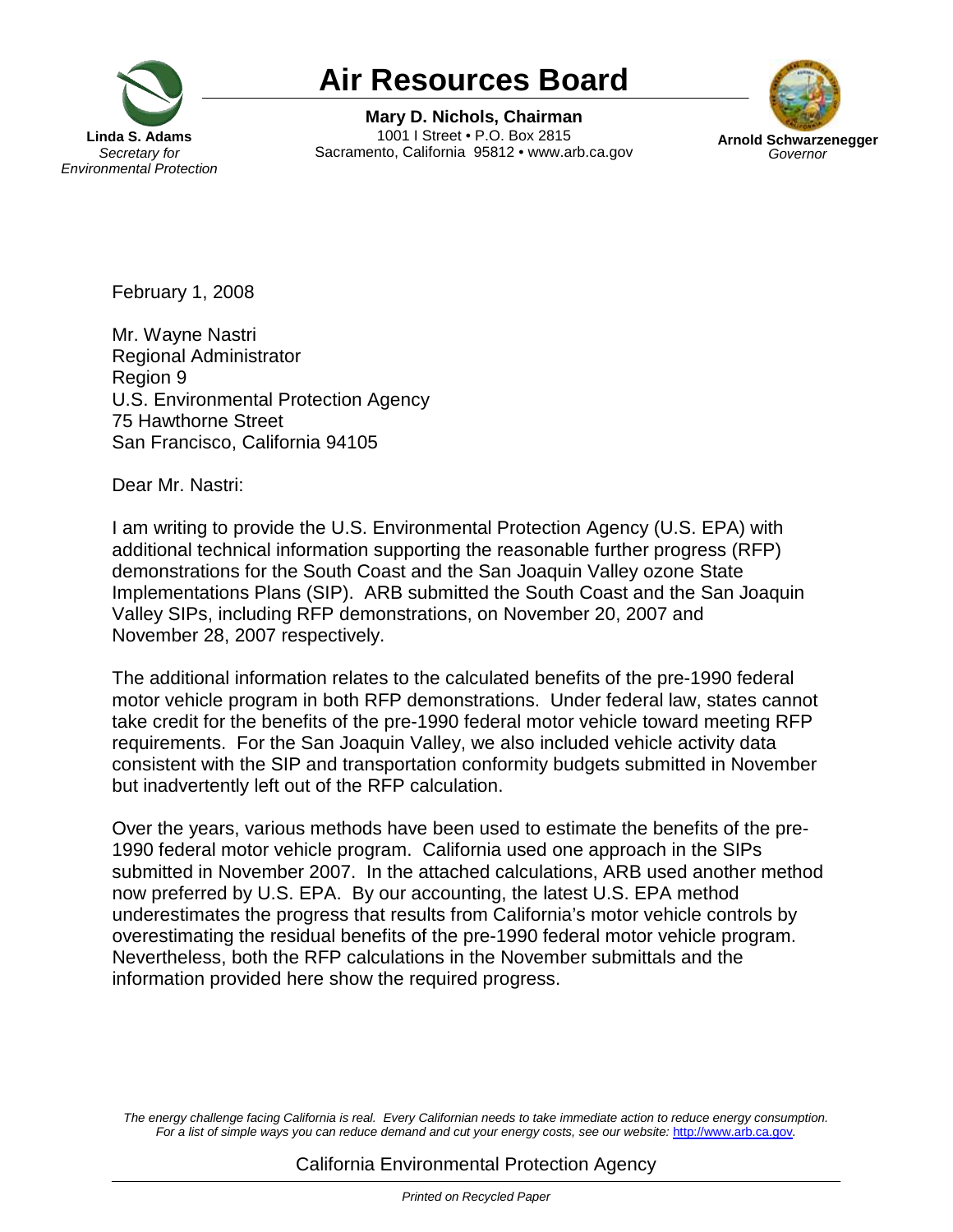

## **Air Resources Board**

Air Resources Board<br>Mary D. Nichols, Chairman<br>a S. Adams<br>Cretary for Sacramento, California 95812 • www.arb.ca.gov Arnol **Mary D. Nichols, Chairman** 1001 I Street • P.O. Box 2815 Sacramento, California 95812 • www.arb.ca.gov



February 1, 2008

Mr. Wayne Nastri Regional Administrator Region 9 U.S. Environmental Protection Agency 75 Hawthorne Street San Francisco, California 94105

Dear Mr. Nastri:

I am writing to provide the U.S. Environmental Protection Agency (U.S. EPA) with additional technical information supporting the reasonable further progress (RFP) demonstrations for the South Coast and the San Joaquin Valley ozone State Implementations Plans (SIP). ARB submitted the South Coast and the San Joaquin Valley SIPs, including RFP demonstrations, on November 20, 2007 and November 28, 2007 respectively.

The additional information relates to the calculated benefits of the pre-1990 federal motor vehicle program in both RFP demonstrations. Under federal law, states cannot take credit for the benefits of the pre-1990 federal motor vehicle toward meeting RFP requirements. For the San Joaquin Valley, we also included vehicle activity data consistent with the SIP and transportation conformity budgets submitted in November but inadvertently left out of the RFP calculation.

Over the years, various methods have been used to estimate the benefits of the pre-1990 federal motor vehicle program. California used one approach in the SIPs submitted in November 2007. In the attached calculations, ARB used another method now preferred by U.S. EPA. By our accounting, the latest U.S. EPA method underestimates the progress that results from California's motor vehicle controls by overestimating the residual benefits of the pre-1990 federal motor vehicle program. Nevertheless, both the RFP calculations in the November submittals and the information provided here show the required progress.

The energy challenge facing California is real. Every Californian needs to take immediate action to reduce energy consumption. For a list of simple ways you can reduce demand and cut your energy costs, see our website: <http://www.arb.ca.gov>.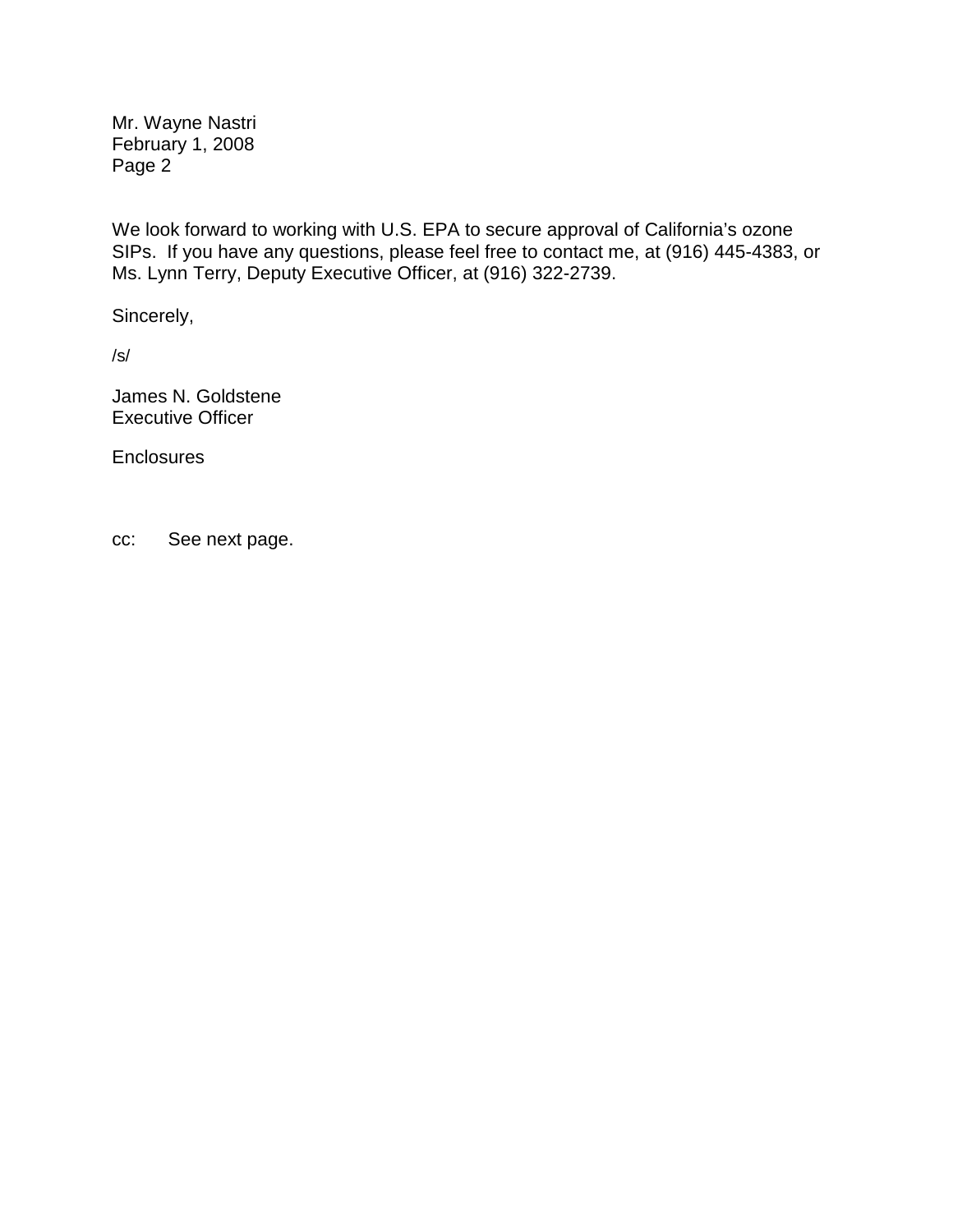Mr. Wayne Nastri February 1, 2008 Page 2

We look forward to working with U.S. EPA to secure approval of California's ozone SIPs. If you have any questions, please feel free to contact me, at (916) 445-4383, or Ms. Lynn Terry, Deputy Executive Officer, at (916) 322-2739.

Sincerely,

/s/

James N. Goldstene Executive Officer

**Enclosures** 

cc: See next page.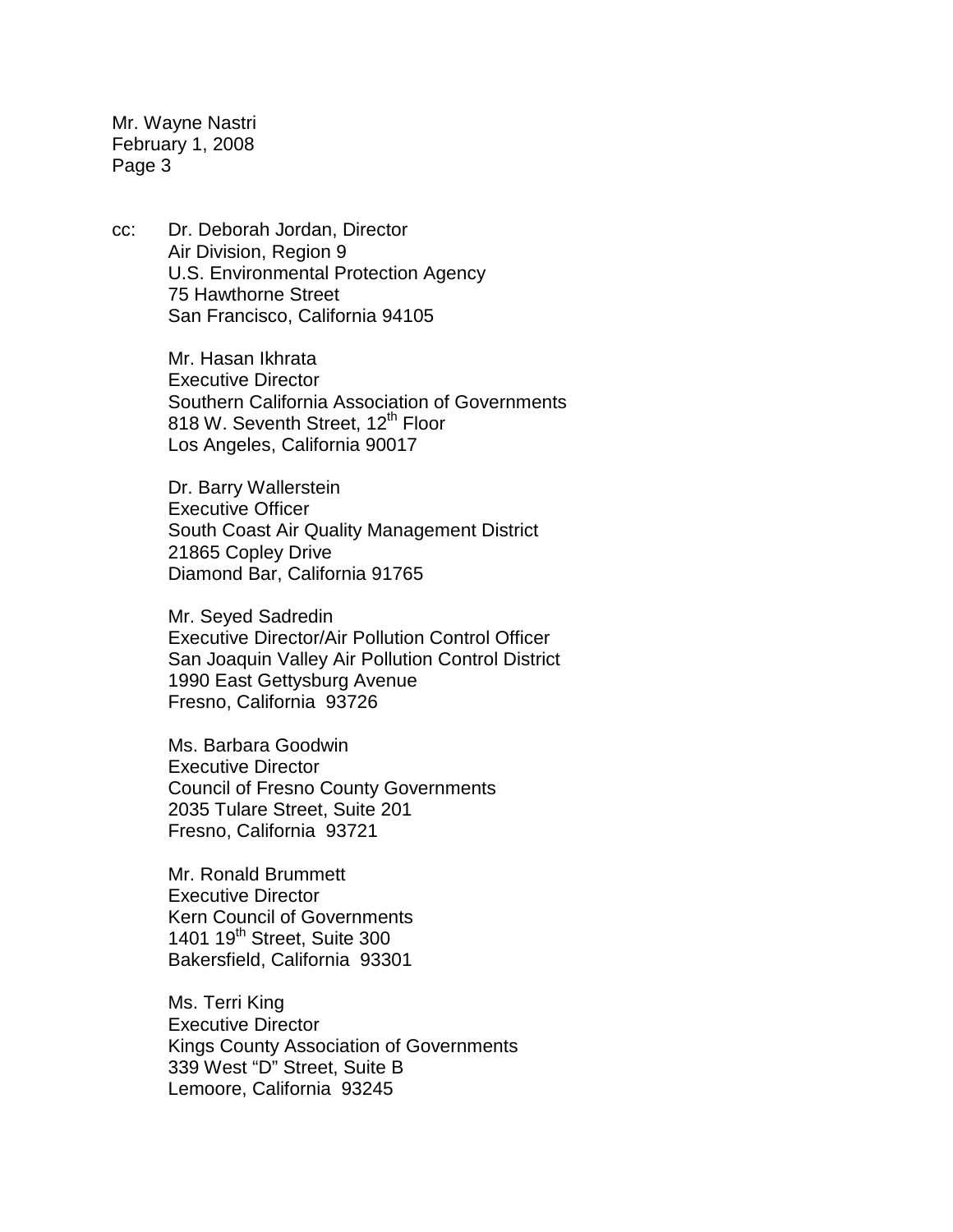Mr. Wayne Nastri February 1, 2008 Page 3

cc: Dr. Deborah Jordan, Director Air Division, Region 9 U.S. Environmental Protection Agency 75 Hawthorne Street San Francisco, California 94105

> Mr. Hasan Ikhrata Executive Director Southern California Association of Governments 818 W. Seventh Street, 12<sup>th</sup> Floor Los Angeles, California 90017

Dr. Barry Wallerstein Executive Officer South Coast Air Quality Management District 21865 Copley Drive Diamond Bar, California 91765

Mr. Seyed Sadredin Executive Director/Air Pollution Control Officer San Joaquin Valley Air Pollution Control District 1990 East Gettysburg Avenue Fresno, California 93726

Ms. Barbara Goodwin Executive Director Council of Fresno County Governments 2035 Tulare Street, Suite 201 Fresno, California 93721

Mr. Ronald Brummett Executive Director Kern Council of Governments 1401 19<sup>th</sup> Street, Suite 300 Bakersfield, California 93301

Ms. Terri King Executive Director Kings County Association of Governments 339 West "D" Street, Suite B Lemoore, California 93245